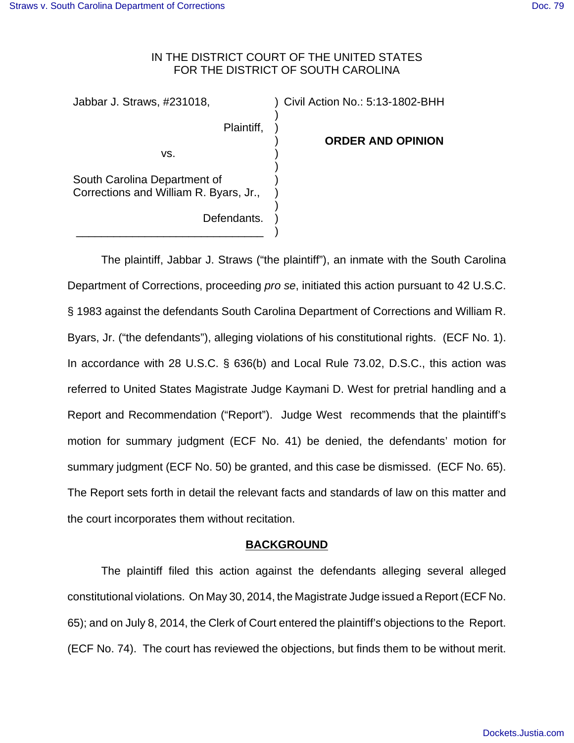## IN THE DISTRICT COURT OF THE UNITED STATES FOR THE DISTRICT OF SOUTH CAROLINA

) ) ) ) ) ) ) ) ) )

Jabbar J. Straws, #231018,

Plaintiff,

) Civil Action No.: 5:13-1802-BHH

 **ORDER AND OPINION**

vs.

South Carolina Department of Corrections and William R. Byars, Jr.,

Defendants. \_\_\_\_\_\_\_\_\_\_\_\_\_\_\_\_\_\_\_\_\_\_\_\_\_\_\_\_\_\_

The plaintiff, Jabbar J. Straws ("the plaintiff"), an inmate with the South Carolina Department of Corrections, proceeding *pro se*, initiated this action pursuant to 42 U.S.C. § 1983 against the defendants South Carolina Department of Corrections and William R. Byars, Jr. ("the defendants"), alleging violations of his constitutional rights. (ECF No. 1). In accordance with 28 U.S.C. § 636(b) and Local Rule 73.02, D.S.C., this action was referred to United States Magistrate Judge Kaymani D. West for pretrial handling and a Report and Recommendation ("Report"). Judge West recommends that the plaintiff's motion for summary judgment (ECF No. 41) be denied, the defendants' motion for summary judgment (ECF No. 50) be granted, and this case be dismissed. (ECF No. 65). The Report sets forth in detail the relevant facts and standards of law on this matter and the court incorporates them without recitation.

# **BACKGROUND**

The plaintiff filed this action against the defendants alleging several alleged constitutional violations. On May 30, 2014, the Magistrate Judge issued a Report (ECF No. 65); and on July 8, 2014, the Clerk of Court entered the plaintiff's objections to the Report. (ECF No. 74). The court has reviewed the objections, but finds them to be without merit.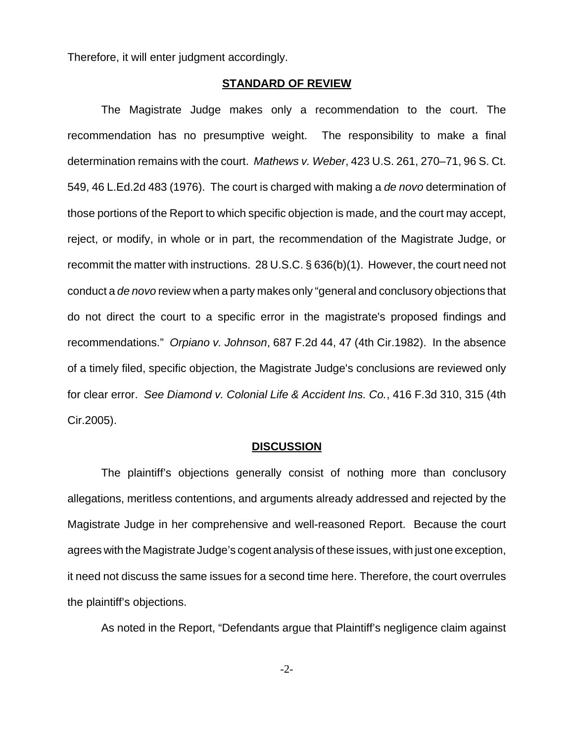Therefore, it will enter judgment accordingly.

#### **STANDARD OF REVIEW**

The Magistrate Judge makes only a recommendation to the court. The recommendation has no presumptive weight. The responsibility to make a final determination remains with the court. *Mathews v. Weber*, 423 U.S. 261, 270–71, 96 S. Ct. 549, 46 L.Ed.2d 483 (1976). The court is charged with making a *de novo* determination of those portions of the Report to which specific objection is made, and the court may accept, reject, or modify, in whole or in part, the recommendation of the Magistrate Judge, or recommit the matter with instructions. 28 U.S.C. § 636(b)(1). However, the court need not conduct a *de novo* review when a party makes only "general and conclusory objections that do not direct the court to a specific error in the magistrate's proposed findings and recommendations." *Orpiano v. Johnson*, 687 F.2d 44, 47 (4th Cir.1982). In the absence of a timely filed, specific objection, the Magistrate Judge's conclusions are reviewed only for clear error. *See Diamond v. Colonial Life & Accident Ins. Co.*, 416 F.3d 310, 315 (4th Cir.2005).

#### **DISCUSSION**

The plaintiff's objections generally consist of nothing more than conclusory allegations, meritless contentions, and arguments already addressed and rejected by the Magistrate Judge in her comprehensive and well-reasoned Report. Because the court agrees with the Magistrate Judge's cogent analysis of these issues, with just one exception, it need not discuss the same issues for a second time here. Therefore, the court overrules the plaintiff's objections.

As noted in the Report, "Defendants argue that Plaintiff's negligence claim against